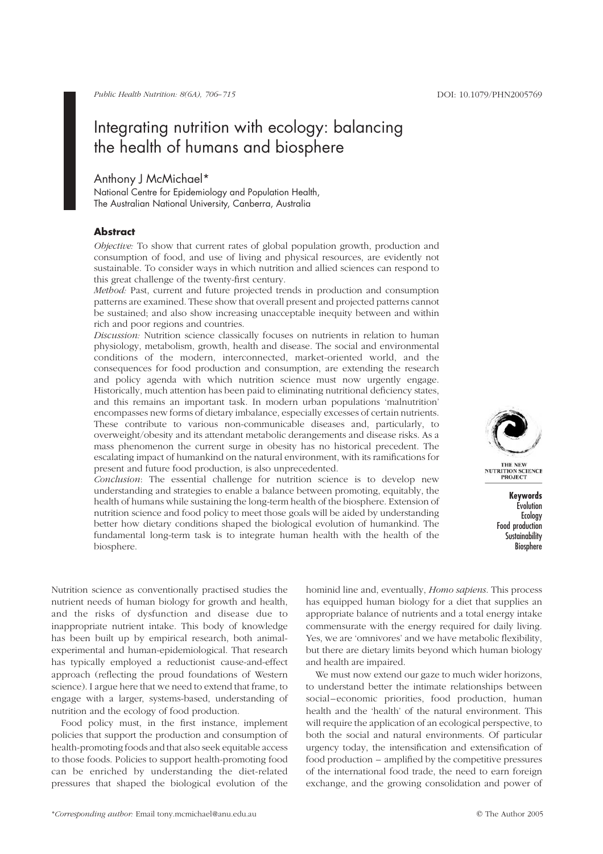# Integrating nutrition with ecology: balancing the health of humans and biosphere

# Anthony J McMichael\*

National Centre for Epidemiology and Population Health, The Australian National University, Canberra, Australia

# Abstract

Objective: To show that current rates of global population growth, production and consumption of food, and use of living and physical resources, are evidently not sustainable. To consider ways in which nutrition and allied sciences can respond to this great challenge of the twenty-first century.

Method: Past, current and future projected trends in production and consumption patterns are examined. These show that overall present and projected patterns cannot be sustained; and also show increasing unacceptable inequity between and within rich and poor regions and countries.

Discussion: Nutrition science classically focuses on nutrients in relation to human physiology, metabolism, growth, health and disease. The social and environmental conditions of the modern, interconnected, market-oriented world, and the consequences for food production and consumption, are extending the research and policy agenda with which nutrition science must now urgently engage. Historically, much attention has been paid to eliminating nutritional deficiency states, and this remains an important task. In modern urban populations 'malnutrition' encompasses new forms of dietary imbalance, especially excesses of certain nutrients. These contribute to various non-communicable diseases and, particularly, to overweight/obesity and its attendant metabolic derangements and disease risks. As a mass phenomenon the current surge in obesity has no historical precedent. The escalating impact of humankind on the natural environment, with its ramifications for present and future food production, is also unprecedented.

Conclusion: The essential challenge for nutrition science is to develop new understanding and strategies to enable a balance between promoting, equitably, the health of humans while sustaining the long-term health of the biosphere. Extension of nutrition science and food policy to meet those goals will be aided by understanding better how dietary conditions shaped the biological evolution of humankind. The fundamental long-term task is to integrate human health with the health of the biosphere.



Keywords Evolution Ecology Food production **Sustainability Biosphere** 

Nutrition science as conventionally practised studies the nutrient needs of human biology for growth and health, and the risks of dysfunction and disease due to inappropriate nutrient intake. This body of knowledge has been built up by empirical research, both animalexperimental and human-epidemiological. That research has typically employed a reductionist cause-and-effect approach (reflecting the proud foundations of Western science). I argue here that we need to extend that frame, to engage with a larger, systems-based, understanding of nutrition and the ecology of food production.

Food policy must, in the first instance, implement policies that support the production and consumption of health-promoting foods and that also seek equitable access to those foods. Policies to support health-promoting food can be enriched by understanding the diet-related pressures that shaped the biological evolution of the hominid line and, eventually, Homo sapiens. This process has equipped human biology for a diet that supplies an appropriate balance of nutrients and a total energy intake commensurate with the energy required for daily living. Yes, we are 'omnivores' and we have metabolic flexibility, but there are dietary limits beyond which human biology and health are impaired.

We must now extend our gaze to much wider horizons, to understand better the intimate relationships between social – economic priorities, food production, human health and the 'health' of the natural environment. This will require the application of an ecological perspective, to both the social and natural environments. Of particular urgency today, the intensification and extensification of food production – amplified by the competitive pressures of the international food trade, the need to earn foreign exchange, and the growing consolidation and power of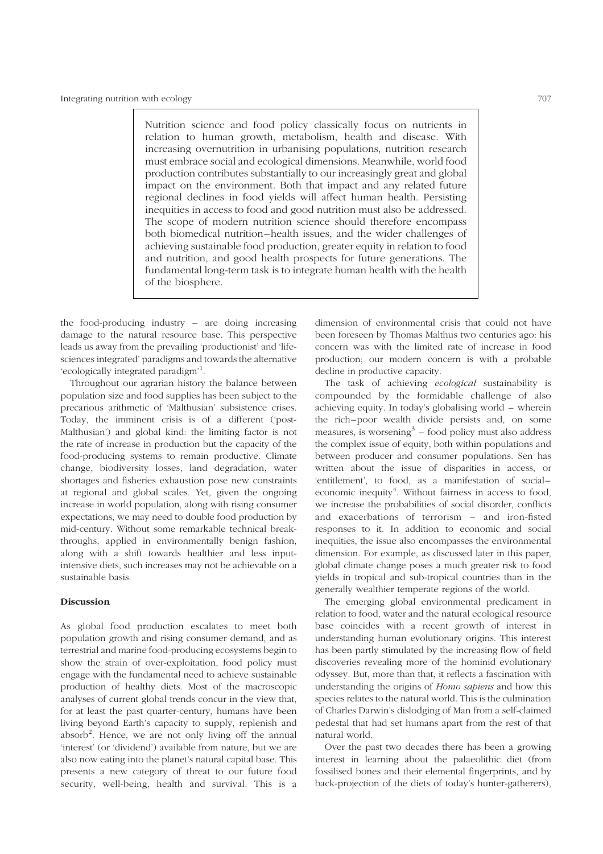Nutrition science and food policy classically focus on nutrients in relation to human growth, metabolism, health and disease. With increasing overnutrition in urbanising populations, nutrition research must embrace social and ecological dimensions. Meanwhile, world food production contributes substantially to our increasingly great and global impact on the environment. Both that impact and any related future regional declines in food yields will affect human health. Persisting inequities in access to food and good nutrition must also be addressed. The scope of modern nutrition science should therefore encompass both biomedical nutrition–health issues, and the wider challenges of achieving sustainable food production, greater equity in relation to food and nutrition, and good health prospects for future generations. The fundamental long-term task is to integrate human health with the health of the biosphere.

the food-producing industry – are doing increasing damage to the natural resource base. This perspective leads us away from the prevailing 'productionist' and 'lifesciences integrated' paradigms and towards the alternative 'ecologically integrated paradigm'<sup>1</sup> .

Throughout our agrarian history the balance between population size and food supplies has been subject to the precarious arithmetic of 'Malthusian' subsistence crises. Today, the imminent crisis is of a different ('post-Malthusian') and global kind: the limiting factor is not the rate of increase in production but the capacity of the food-producing systems to remain productive. Climate change, biodiversity losses, land degradation, water shortages and fisheries exhaustion pose new constraints at regional and global scales. Yet, given the ongoing increase in world population, along with rising consumer expectations, we may need to double food production by mid-century. Without some remarkable technical breakthroughs, applied in environmentally benign fashion, along with a shift towards healthier and less inputintensive diets, such increases may not be achievable on a sustainable basis.

#### Discussion

As global food production escalates to meet both population growth and rising consumer demand, and as terrestrial and marine food-producing ecosystems begin to show the strain of over-exploitation, food policy must engage with the fundamental need to achieve sustainable production of healthy diets. Most of the macroscopic analyses of current global trends concur in the view that, for at least the past quarter-century, humans have been living beyond Earth's capacity to supply, replenish and  $absorb<sup>2</sup>$ . Hence, we are not only living off the annual 'interest' (or 'dividend') available from nature, but we are also now eating into the planet's natural capital base. This presents a new category of threat to our future food security, well-being, health and survival. This is a

dimension of environmental crisis that could not have been foreseen by Thomas Malthus two centuries ago: his concern was with the limited rate of increase in food production; our modern concern is with a probable decline in productive capacity.

The task of achieving ecological sustainability is compounded by the formidable challenge of also achieving equity. In today's globalising world – wherein the rich –poor wealth divide persists and, on some measures, is worsening<sup>3</sup> – food policy must also address the complex issue of equity, both within populations and between producer and consumer populations. Sen has written about the issue of disparities in access, or 'entitlement', to food, as a manifestation of socialeconomic inequity<sup>4</sup>. Without fairness in access to food, we increase the probabilities of social disorder, conflicts and exacerbations of terrorism – and iron-fisted responses to it. In addition to economic and social inequities, the issue also encompasses the environmental dimension. For example, as discussed later in this paper, global climate change poses a much greater risk to food yields in tropical and sub-tropical countries than in the generally wealthier temperate regions of the world.

The emerging global environmental predicament in relation to food, water and the natural ecological resource base coincides with a recent growth of interest in understanding human evolutionary origins. This interest has been partly stimulated by the increasing flow of field discoveries revealing more of the hominid evolutionary odyssey. But, more than that, it reflects a fascination with understanding the origins of Homo sapiens and how this species relates to the natural world. This is the culmination of Charles Darwin's dislodging of Man from a self-claimed pedestal that had set humans apart from the rest of that natural world.

Over the past two decades there has been a growing interest in learning about the palaeolithic diet (from fossilised bones and their elemental fingerprints, and by back-projection of the diets of today's hunter-gatherers),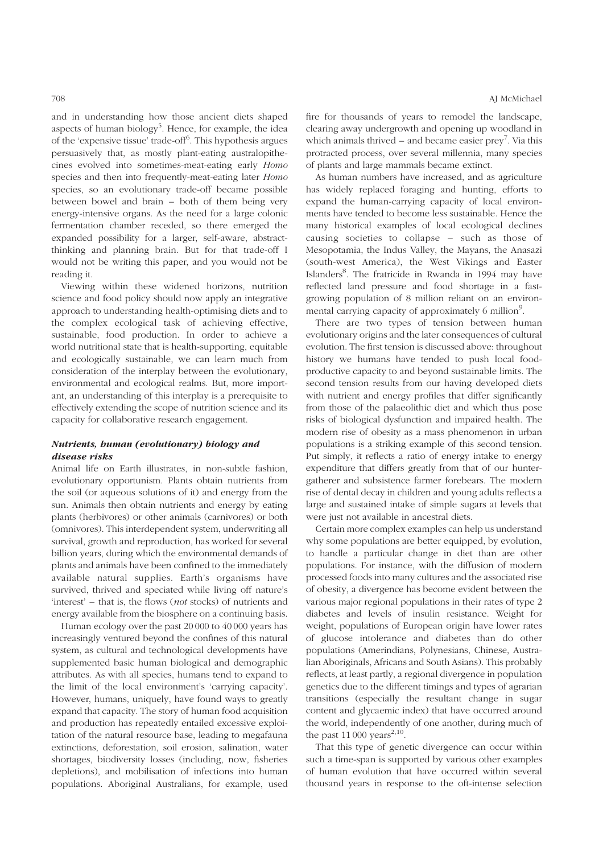and in understanding how those ancient diets shaped aspects of human biology<sup>5</sup>. Hence, for example, the idea of the 'expensive tissue' trade-off<sup>6</sup>. This hypothesis argues persuasively that, as mostly plant-eating australopithecines evolved into sometimes-meat-eating early Homo species and then into frequently-meat-eating later Homo species, so an evolutionary trade-off became possible between bowel and brain – both of them being very energy-intensive organs. As the need for a large colonic fermentation chamber receded, so there emerged the expanded possibility for a larger, self-aware, abstractthinking and planning brain. But for that trade-off I would not be writing this paper, and you would not be reading it.

Viewing within these widened horizons, nutrition science and food policy should now apply an integrative approach to understanding health-optimising diets and to the complex ecological task of achieving effective, sustainable, food production. In order to achieve a world nutritional state that is health-supporting, equitable and ecologically sustainable, we can learn much from consideration of the interplay between the evolutionary, environmental and ecological realms. But, more important, an understanding of this interplay is a prerequisite to effectively extending the scope of nutrition science and its capacity for collaborative research engagement.

# Nutrients, human (evolutionary) biology and disease risks

Animal life on Earth illustrates, in non-subtle fashion, evolutionary opportunism. Plants obtain nutrients from the soil (or aqueous solutions of it) and energy from the sun. Animals then obtain nutrients and energy by eating plants (herbivores) or other animals (carnivores) or both (omnivores). This interdependent system, underwriting all survival, growth and reproduction, has worked for several billion years, during which the environmental demands of plants and animals have been confined to the immediately available natural supplies. Earth's organisms have survived, thrived and speciated while living off nature's 'interest' – that is, the flows (not stocks) of nutrients and energy available from the biosphere on a continuing basis.

Human ecology over the past 20 000 to 40 000 years has increasingly ventured beyond the confines of this natural system, as cultural and technological developments have supplemented basic human biological and demographic attributes. As with all species, humans tend to expand to the limit of the local environment's 'carrying capacity'. However, humans, uniquely, have found ways to greatly expand that capacity. The story of human food acquisition and production has repeatedly entailed excessive exploitation of the natural resource base, leading to megafauna extinctions, deforestation, soil erosion, salination, water shortages, biodiversity losses (including, now, fisheries depletions), and mobilisation of infections into human populations. Aboriginal Australians, for example, used

#### 708 AJ McMichael

fire for thousands of years to remodel the landscape, clearing away undergrowth and opening up woodland in which animals thrived  $-$  and became easier prey<sup>7</sup>. Via this protracted process, over several millennia, many species of plants and large mammals became extinct.

As human numbers have increased, and as agriculture has widely replaced foraging and hunting, efforts to expand the human-carrying capacity of local environments have tended to become less sustainable. Hence the many historical examples of local ecological declines causing societies to collapse – such as those of Mesopotamia, the Indus Valley, the Mayans, the Anasazi (south-west America), the West Vikings and Easter Islanders<sup>8</sup>. The fratricide in Rwanda in 1994 may have reflected land pressure and food shortage in a fastgrowing population of 8 million reliant on an environmental carrying capacity of approximately 6 million<sup>9</sup>.

There are two types of tension between human evolutionary origins and the later consequences of cultural evolution. The first tension is discussed above: throughout history we humans have tended to push local foodproductive capacity to and beyond sustainable limits. The second tension results from our having developed diets with nutrient and energy profiles that differ significantly from those of the palaeolithic diet and which thus pose risks of biological dysfunction and impaired health. The modern rise of obesity as a mass phenomenon in urban populations is a striking example of this second tension. Put simply, it reflects a ratio of energy intake to energy expenditure that differs greatly from that of our huntergatherer and subsistence farmer forebears. The modern rise of dental decay in children and young adults reflects a large and sustained intake of simple sugars at levels that were just not available in ancestral diets.

Certain more complex examples can help us understand why some populations are better equipped, by evolution, to handle a particular change in diet than are other populations. For instance, with the diffusion of modern processed foods into many cultures and the associated rise of obesity, a divergence has become evident between the various major regional populations in their rates of type 2 diabetes and levels of insulin resistance. Weight for weight, populations of European origin have lower rates of glucose intolerance and diabetes than do other populations (Amerindians, Polynesians, Chinese, Australian Aboriginals, Africans and South Asians). This probably reflects, at least partly, a regional divergence in population genetics due to the different timings and types of agrarian transitions (especially the resultant change in sugar content and glycaemic index) that have occurred around the world, independently of one another, during much of the past  $11\,000$  years<sup>2,10</sup>.

That this type of genetic divergence can occur within such a time-span is supported by various other examples of human evolution that have occurred within several thousand years in response to the oft-intense selection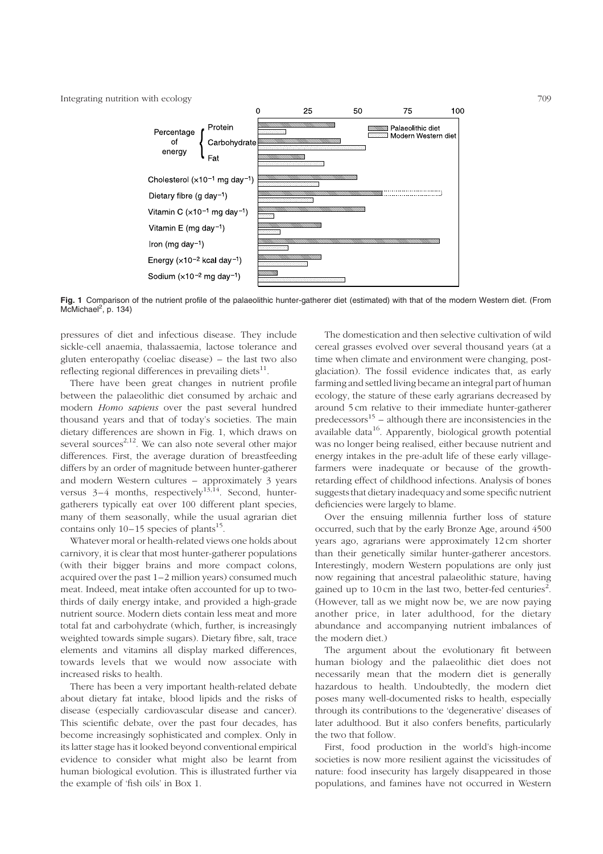

Fig. 1 Comparison of the nutrient profile of the palaeolithic hunter-gatherer diet (estimated) with that of the modern Western diet. (From McMichael<sup>2</sup>, p. 134)

pressures of diet and infectious disease. They include sickle-cell anaemia, thalassaemia, lactose tolerance and gluten enteropathy (coeliac disease) – the last two also reflecting regional differences in prevailing diets $^{11}$ .

There have been great changes in nutrient profile between the palaeolithic diet consumed by archaic and modern Homo sapiens over the past several hundred thousand years and that of today's societies. The main dietary differences are shown in Fig. 1, which draws on several sources $^{2,12}$ . We can also note several other major differences. First, the average duration of breastfeeding differs by an order of magnitude between hunter-gatherer and modern Western cultures – approximately 3 years versus  $3-4$  months, respectively<sup>13,14</sup>. Second, huntergatherers typically eat over 100 different plant species, many of them seasonally, while the usual agrarian diet contains only  $10-15$  species of plants<sup>15</sup>.

Whatever moral or health-related views one holds about carnivory, it is clear that most hunter-gatherer populations (with their bigger brains and more compact colons, acquired over the past 1–2 million years) consumed much meat. Indeed, meat intake often accounted for up to twothirds of daily energy intake, and provided a high-grade nutrient source. Modern diets contain less meat and more total fat and carbohydrate (which, further, is increasingly weighted towards simple sugars). Dietary fibre, salt, trace elements and vitamins all display marked differences, towards levels that we would now associate with increased risks to health.

There has been a very important health-related debate about dietary fat intake, blood lipids and the risks of disease (especially cardiovascular disease and cancer). This scientific debate, over the past four decades, has become increasingly sophisticated and complex. Only in its latter stage has it looked beyond conventional empirical evidence to consider what might also be learnt from human biological evolution. This is illustrated further via the example of 'fish oils' in Box 1.

The domestication and then selective cultivation of wild cereal grasses evolved over several thousand years (at a time when climate and environment were changing, postglaciation). The fossil evidence indicates that, as early farming and settled living became an integral part of human ecology, the stature of these early agrarians decreased by around 5 cm relative to their immediate hunter-gatherer predecessors $15$  – although there are inconsistencies in the available data $16$ . Apparently, biological growth potential was no longer being realised, either because nutrient and energy intakes in the pre-adult life of these early villagefarmers were inadequate or because of the growthretarding effect of childhood infections. Analysis of bones suggests that dietary inadequacy and some specific nutrient deficiencies were largely to blame.

Over the ensuing millennia further loss of stature occurred, such that by the early Bronze Age, around 4500 years ago, agrarians were approximately 12 cm shorter than their genetically similar hunter-gatherer ancestors. Interestingly, modern Western populations are only just now regaining that ancestral palaeolithic stature, having gained up to  $10 \text{ cm}$  in the last two, better-fed centuries<sup>2</sup>. (However, tall as we might now be, we are now paying another price, in later adulthood, for the dietary abundance and accompanying nutrient imbalances of the modern diet.)

The argument about the evolutionary fit between human biology and the palaeolithic diet does not necessarily mean that the modern diet is generally hazardous to health. Undoubtedly, the modern diet poses many well-documented risks to health, especially through its contributions to the 'degenerative' diseases of later adulthood. But it also confers benefits, particularly the two that follow.

First, food production in the world's high-income societies is now more resilient against the vicissitudes of nature: food insecurity has largely disappeared in those populations, and famines have not occurred in Western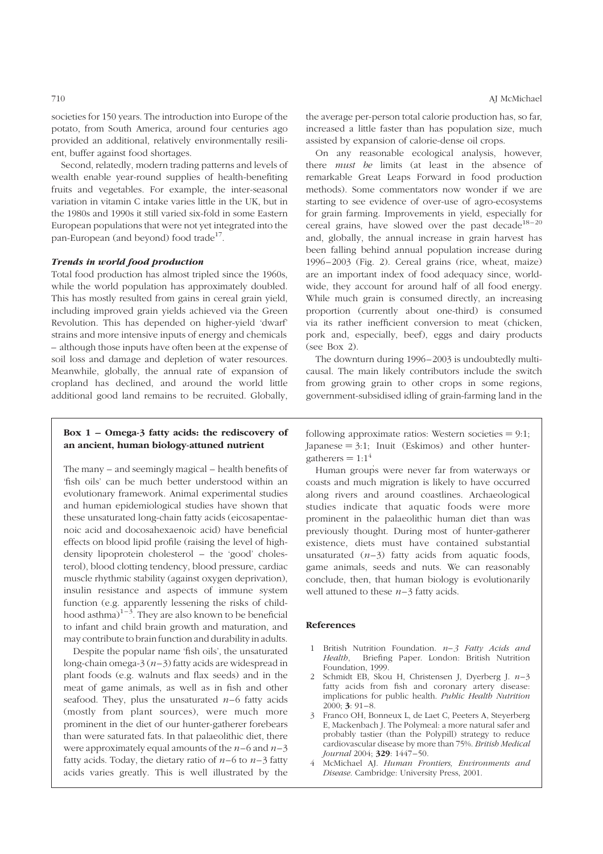societies for 150 years. The introduction into Europe of the potato, from South America, around four centuries ago provided an additional, relatively environmentally resilient, buffer against food shortages.

Second, relatedly, modern trading patterns and levels of wealth enable year-round supplies of health-benefiting fruits and vegetables. For example, the inter-seasonal variation in vitamin C intake varies little in the UK, but in the 1980s and 1990s it still varied six-fold in some Eastern European populations that were not yet integrated into the pan-European (and beyond) food trade<sup>17</sup>.

# Trends in world food production

Total food production has almost tripled since the 1960s, while the world population has approximately doubled. This has mostly resulted from gains in cereal grain yield, including improved grain yields achieved via the Green Revolution. This has depended on higher-yield 'dwarf' strains and more intensive inputs of energy and chemicals – although those inputs have often been at the expense of soil loss and damage and depletion of water resources. Meanwhile, globally, the annual rate of expansion of cropland has declined, and around the world little additional good land remains to be recruited. Globally,

# Box 1 – Omega-3 fatty acids: the rediscovery of an ancient, human biology-attuned nutrient

The many – and seemingly magical – health benefits of 'fish oils' can be much better understood within an evolutionary framework. Animal experimental studies and human epidemiological studies have shown that these unsaturated long-chain fatty acids (eicosapentaenoic acid and docosahexaenoic acid) have beneficial effects on blood lipid profile (raising the level of highdensity lipoprotein cholesterol – the 'good' cholesterol), blood clotting tendency, blood pressure, cardiac muscle rhythmic stability (against oxygen deprivation), insulin resistance and aspects of immune system function (e.g. apparently lessening the risks of childhood asthma) $1-3$ . They are also known to be beneficial to infant and child brain growth and maturation, and may contribute to brain function and durability in adults.

Despite the popular name 'fish oils', the unsaturated long-chain omega-3  $(n-3)$  fatty acids are widespread in plant foods (e.g. walnuts and flax seeds) and in the meat of game animals, as well as in fish and other seafood. They, plus the unsaturated  $n-6$  fatty acids (mostly from plant sources), were much more prominent in the diet of our hunter-gatherer forebears than were saturated fats. In that palaeolithic diet, there were approximately equal amounts of the  $n-6$  and  $n-3$ fatty acids. Today, the dietary ratio of  $n-6$  to  $n-3$  fatty acids varies greatly. This is well illustrated by the the average per-person total calorie production has, so far, increased a little faster than has population size, much assisted by expansion of calorie-dense oil crops.

On any reasonable ecological analysis, however, there must be limits (at least in the absence of remarkable Great Leaps Forward in food production methods). Some commentators now wonder if we are starting to see evidence of over-use of agro-ecosystems for grain farming. Improvements in yield, especially for cereal grains, have slowed over the past decade<sup>18-20</sup> and, globally, the annual increase in grain harvest has been falling behind annual population increase during 1996–2003 ([Fig. 2](#page-5-0)). Cereal grains (rice, wheat, maize) are an important index of food adequacy since, worldwide, they account for around half of all food energy. While much grain is consumed directly, an increasing proportion (currently about one-third) is consumed via its rather inefficient conversion to meat (chicken, pork and, especially, beef), eggs and dairy products (see Box 2).

The downturn during 1996–2003 is undoubtedly multicausal. The main likely contributors include the switch from growing grain to other crops in some regions, government-subsidised idling of grain-farming land in the

following approximate ratios: Western societies  $= 9:1;$ Japanese  $= 3:1$ ; Inuit (Eskimos) and other huntergatherers  $= 1:1<sup>4</sup>$ 

. Human groups were never far from waterways or coasts and much migration is likely to have occurred along rivers and around coastlines. Archaeological studies indicate that aquatic foods were more prominent in the palaeolithic human diet than was previously thought. During most of hunter-gatherer existence, diets must have contained substantial unsaturated  $(n-3)$  fatty acids from aquatic foods, game animals, seeds and nuts. We can reasonably conclude, then, that human biology is evolutionarily well attuned to these  $n-3$  fatty acids.

# References

- 1 British Nutrition Foundation.  $n-3$  Fatty Acids and Health, Briefing Paper. London: British Nutrition Foundation, 1999.
- Schmidt EB, Skou H, Christensen J, Dyerberg J.  $n-3$ fatty acids from fish and coronary artery disease: implications for public health. Public Health Nutrition  $2000; 3: 91 - 8.$
- 3 Franco OH, Bonneux L, de Laet C, Peeters A, Steyerberg E, Mackenbach J. The Polymeal: a more natural safer and probably tastier (than the Polypill) strategy to reduce cardiovascular disease by more than 75%. British Medical Journal 2004; 329: 1447– 50.
- 4 McMichael AJ. Human Frontiers, Environments and Disease. Cambridge: University Press, 2001.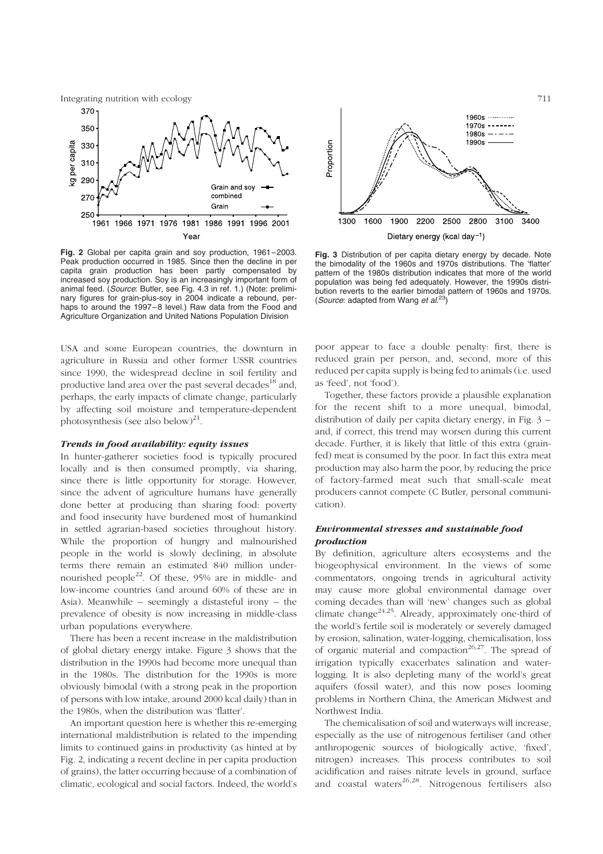<span id="page-5-0"></span>

Fig. 2 Global per capita grain and soy production, 1961–2003. Peak production occurred in 1985. Since then the decline in per capita grain production has been partly compensated by increased soy production. Soy is an increasingly important form of animal feed. (Source: Butler, see Fig. 4.3 in ref. 1.) (Note: preliminary figures for grain-plus-soy in 2004 indicate a rebound, perhaps to around the 1997–8 level.) Raw data from the Food and Agriculture Organization and United Nations Population Division

USA and some European countries, the downturn in agriculture in Russia and other former USSR countries since 1990, the widespread decline in soil fertility and productive land area over the past several decades<sup>18</sup> and, perhaps, the early impacts of climate change, particularly by affecting soil moisture and temperature-dependent photosynthesis (see also below)<sup>21</sup>.

### Trends in food availability: equity issues

In hunter-gatherer societies food is typically procured locally and is then consumed promptly, via sharing, since there is little opportunity for storage. However, since the advent of agriculture humans have generally done better at producing than sharing food: poverty and food insecurity have burdened most of humankind in settled agrarian-based societies throughout history. While the proportion of hungry and malnourished people in the world is slowly declining, in absolute terms there remain an estimated 840 million undernourished people<sup>22</sup>. Of these,  $95%$  are in middle- and low-income countries (and around 60% of these are in Asia). Meanwhile – seemingly a distasteful irony – the prevalence of obesity is now increasing in middle-class urban populations everywhere.

There has been a recent increase in the maldistribution of global dietary energy intake. Figure 3 shows that the distribution in the 1990s had become more unequal than in the 1980s. The distribution for the 1990s is more obviously bimodal (with a strong peak in the proportion of persons with low intake, around 2000 kcal daily) than in the 1980s, when the distribution was 'flatter'.

An important question here is whether this re-emerging international maldistribution is related to the impending limits to continued gains in productivity (as hinted at by Fig. 2, indicating a recent decline in per capita production of grains), the latter occurring because of a combination of climatic, ecological and social factors. Indeed, the world's



Fig. 3 Distribution of per capita dietary energy by decade. Note the bimodality of the 1960s and 1970s distributions. The 'flatter' pattern of the 1980s distribution indicates that more of the world population was being fed adequately. However, the 1990s distribution reverts to the earlier bimodal pattern of 1960s and 1970s. (Source: adapted from Wang et al.<sup>23</sup>)

poor appear to face a double penalty: first, there is reduced grain per person, and, second, more of this reduced per capita supply is being fed to animals (i.e. used as 'feed', not 'food').

Together, these factors provide a plausible explanation for the recent shift to a more unequal, bimodal, distribution of daily per capita dietary energy, in Fig. 3 – and, if correct, this trend may worsen during this current decade. Further, it is likely that little of this extra (grainfed) meat is consumed by the poor. In fact this extra meat production may also harm the poor, by reducing the price of factory-farmed meat such that small-scale meat producers cannot compete (C Butler, personal communication).

# Environmental stresses and sustainable food production

By definition, agriculture alters ecosystems and the biogeophysical environment. In the views of some commentators, ongoing trends in agricultural activity may cause more global environmental damage over coming decades than will 'new' changes such as global climate change<sup>24,25</sup>. Already, approximately one-third of the world's fertile soil is moderately or severely damaged by erosion, salination, water-logging, chemicalisation, loss of organic material and compaction<sup>26,27</sup>. The spread of irrigation typically exacerbates salination and waterlogging. It is also depleting many of the world's great aquifers (fossil water), and this now poses looming problems in Northern China, the American Midwest and Northwest India.

The chemicalisation of soil and waterways will increase, especially as the use of nitrogenous fertiliser (and other anthropogenic sources of biologically active, 'fixed', nitrogen) increases. This process contributes to soil acidification and raises nitrate levels in ground, surface and coastal waters $^{26,28}$ . Nitrogenous fertilisers also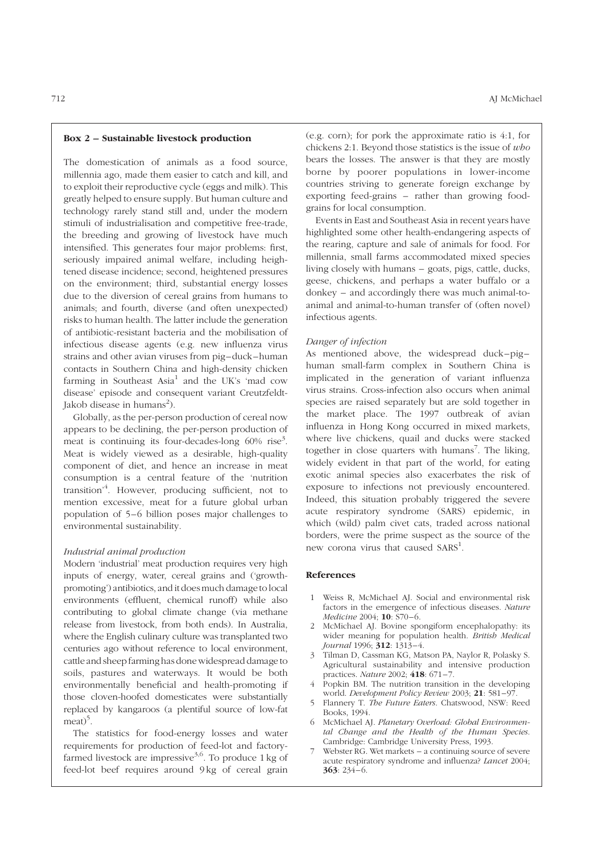### Box 2 – Sustainable livestock production

The domestication of animals as a food source, millennia ago, made them easier to catch and kill, and to exploit their reproductive cycle (eggs and milk). This greatly helped to ensure supply. But human culture and technology rarely stand still and, under the modern stimuli of industrialisation and competitive free-trade, the breeding and growing of livestock have much intensified. This generates four major problems: first, seriously impaired animal welfare, including heightened disease incidence; second, heightened pressures on the environment; third, substantial energy losses due to the diversion of cereal grains from humans to animals; and fourth, diverse (and often unexpected) risks to human health. The latter include the generation of antibiotic-resistant bacteria and the mobilisation of infectious disease agents (e.g. new influenza virus strains and other avian viruses from pig–duck–human contacts in Southern China and high-density chicken farming in Southeast Asia<sup>1</sup> and the UK's 'mad cow disease' episode and consequent variant Creutzfeldt-Jakob disease in humans $^{2}$ ).

Globally, as the per-person production of cereal now appears to be declining, the per-person production of meat is continuing its four-decades-long 60% rise<sup>3</sup>. Meat is widely viewed as a desirable, high-quality component of diet, and hence an increase in meat consumption is a central feature of the 'nutrition transition'<sup>4</sup> . However, producing sufficient, not to mention excessive, meat for a future global urban population of 5–6 billion poses major challenges to environmental sustainability.

#### Industrial animal production

Modern 'industrial' meat production requires very high inputs of energy, water, cereal grains and ('growthpromoting') antibiotics, and it does much damage to local environments (effluent, chemical runoff) while also contributing to global climate change (via methane release from livestock, from both ends). In Australia, where the English culinary culture was transplanted two centuries ago without reference to local environment, cattle and sheep farming has done widespread damage to soils, pastures and waterways. It would be both environmentally beneficial and health-promoting if those cloven-hoofed domesticates were substantially replaced by kangaroos (a plentiful source of low-fat meat)<sup>5</sup>.

The statistics for food-energy losses and water requirements for production of feed-lot and factoryfarmed livestock are impressive<sup>3,6</sup>. To produce  $1 \text{ kg}$  of feed-lot beef requires around 9 kg of cereal grain (e.g. corn); for pork the approximate ratio is 4:1, for chickens 2:1. Beyond those statistics is the issue of who bears the losses. The answer is that they are mostly borne by poorer populations in lower-income countries striving to generate foreign exchange by exporting feed-grains – rather than growing foodgrains for local consumption.

Events in East and Southeast Asia in recent years have highlighted some other health-endangering aspects of the rearing, capture and sale of animals for food. For millennia, small farms accommodated mixed species living closely with humans – goats, pigs, cattle, ducks, geese, chickens, and perhaps a water buffalo or a donkey – and accordingly there was much animal-toanimal and animal-to-human transfer of (often novel) infectious agents.

#### Danger of infection

As mentioned above, the widespread duck-pighuman small-farm complex in Southern China is implicated in the generation of variant influenza virus strains. Cross-infection also occurs when animal species are raised separately but are sold together in the market place. The 1997 outbreak of avian influenza in Hong Kong occurred in mixed markets, where live chickens, quail and ducks were stacked together in close quarters with humans<sup>7</sup>. The liking, widely evident in that part of the world, for eating exotic animal species also exacerbates the risk of exposure to infections not previously encountered. Indeed, this situation probably triggered the severe acute respiratory syndrome (SARS) epidemic, in which (wild) palm civet cats, traded across national borders, were the prime suspect as the source of the new corona virus that caused  $SARS<sup>1</sup>$ .

#### References

- 1 Weiss R, McMichael AJ. Social and environmental risk factors in the emergence of infectious diseases. Nature Medicine 2004; 10: S70-6.
- McMichael AJ. Bovine spongiform encephalopathy: its wider meaning for population health. British Medical Journal 1996; 312: 1313-4.
- 3 Tilman D, Cassman KG, Matson PA, Naylor R, Polasky S. Agricultural sustainability and intensive production practices. Nature 2002: 418: 671-7.
- 4 Popkin BM. The nutrition transition in the developing world. Development Policy Review 2003; 21: 581-97.
- 5 Flannery T. The Future Eaters. Chatswood, NSW: Reed Books, 1994.
- McMichael AJ. Planetary Overload: Global Environmental Change and the Health of the Human Species. Cambridge: Cambridge University Press, 1993.
- Webster  $RG$ . Wet markets a continuing source of severe acute respiratory syndrome and influenza? Lancet 2004; 363: 234 – 6.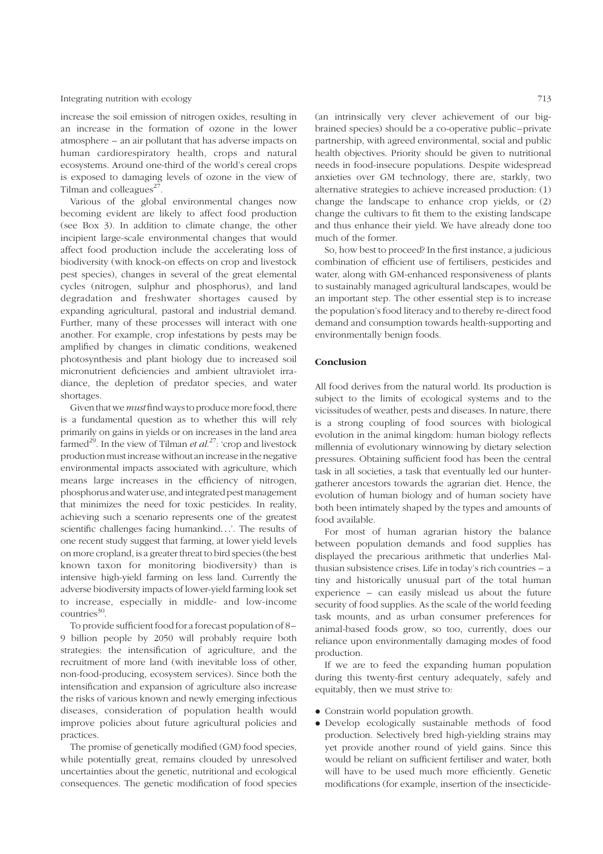increase the soil emission of nitrogen oxides, resulting in an increase in the formation of ozone in the lower atmosphere – an air pollutant that has adverse impacts on human cardiorespiratory health, crops and natural ecosystems. Around one-third of the world's cereal crops is exposed to damaging levels of ozone in the view of Tilman and colleagues $^{27}$ .

Various of the global environmental changes now becoming evident are likely to affect food production (see Box 3). In addition to climate change, the other incipient large-scale environmental changes that would affect food production include the accelerating loss of biodiversity (with knock-on effects on crop and livestock pest species), changes in several of the great elemental cycles (nitrogen, sulphur and phosphorus), and land degradation and freshwater shortages caused by expanding agricultural, pastoral and industrial demand. Further, many of these processes will interact with one another. For example, crop infestations by pests may be amplified by changes in climatic conditions, weakened photosynthesis and plant biology due to increased soil micronutrient deficiencies and ambient ultraviolet irradiance, the depletion of predator species, and water shortages.

Given that we *must* find ways to produce more food, there is a fundamental question as to whether this will rely primarily on gains in yields or on increases in the land area farmed<sup>29</sup>. In the view of Tilman *et al*.<sup>27</sup>: 'crop and livestock production must increase without an increase in the negative environmental impacts associated with agriculture, which means large increases in the efficiency of nitrogen, phosphorus and water use, and integrated pest management that minimizes the need for toxic pesticides. In reality, achieving such a scenario represents one of the greatest scientific challenges facing humankind...'. The results of one recent study suggest that farming, at lower yield levels on more cropland, is a greater threat to bird species (the best known taxon for monitoring biodiversity) than is intensive high-yield farming on less land. Currently the adverse biodiversity impacts of lower-yield farming look set to increase, especially in middle- and low-income  $countries<sup>30</sup>$ .

To provide sufficient food for a forecast population of 8– 9 billion people by 2050 will probably require both strategies: the intensification of agriculture, and the recruitment of more land (with inevitable loss of other, non-food-producing, ecosystem services). Since both the intensification and expansion of agriculture also increase the risks of various known and newly emerging infectious diseases, consideration of population health would improve policies about future agricultural policies and practices.

The promise of genetically modified (GM) food species, while potentially great, remains clouded by unresolved uncertainties about the genetic, nutritional and ecological consequences. The genetic modification of food species

(an intrinsically very clever achievement of our bigbrained species) should be a co-operative public –private partnership, with agreed environmental, social and public health objectives. Priority should be given to nutritional needs in food-insecure populations. Despite widespread anxieties over GM technology, there are, starkly, two alternative strategies to achieve increased production: (1) change the landscape to enhance crop yields, or (2) change the cultivars to fit them to the existing landscape

much of the former. So, how best to proceed? In the first instance, a judicious combination of efficient use of fertilisers, pesticides and water, along with GM-enhanced responsiveness of plants to sustainably managed agricultural landscapes, would be an important step. The other essential step is to increase the population's food literacy and to thereby re-direct food demand and consumption towards health-supporting and environmentally benign foods.

and thus enhance their yield. We have already done too

# Conclusion

All food derives from the natural world. Its production is subject to the limits of ecological systems and to the vicissitudes of weather, pests and diseases. In nature, there is a strong coupling of food sources with biological evolution in the animal kingdom: human biology reflects millennia of evolutionary winnowing by dietary selection pressures. Obtaining sufficient food has been the central task in all societies, a task that eventually led our huntergatherer ancestors towards the agrarian diet. Hence, the evolution of human biology and of human society have both been intimately shaped by the types and amounts of food available.

For most of human agrarian history the balance between population demands and food supplies has displayed the precarious arithmetic that underlies Malthusian subsistence crises. Life in today's rich countries – a tiny and historically unusual part of the total human experience – can easily mislead us about the future security of food supplies. As the scale of the world feeding task mounts, and as urban consumer preferences for animal-based foods grow, so too, currently, does our reliance upon environmentally damaging modes of food production.

If we are to feed the expanding human population during this twenty-first century adequately, safely and equitably, then we must strive to:

- . Constrain world population growth.
- . Develop ecologically sustainable methods of food production. Selectively bred high-yielding strains may yet provide another round of yield gains. Since this would be reliant on sufficient fertiliser and water, both will have to be used much more efficiently. Genetic modifications (for example, insertion of the insecticide-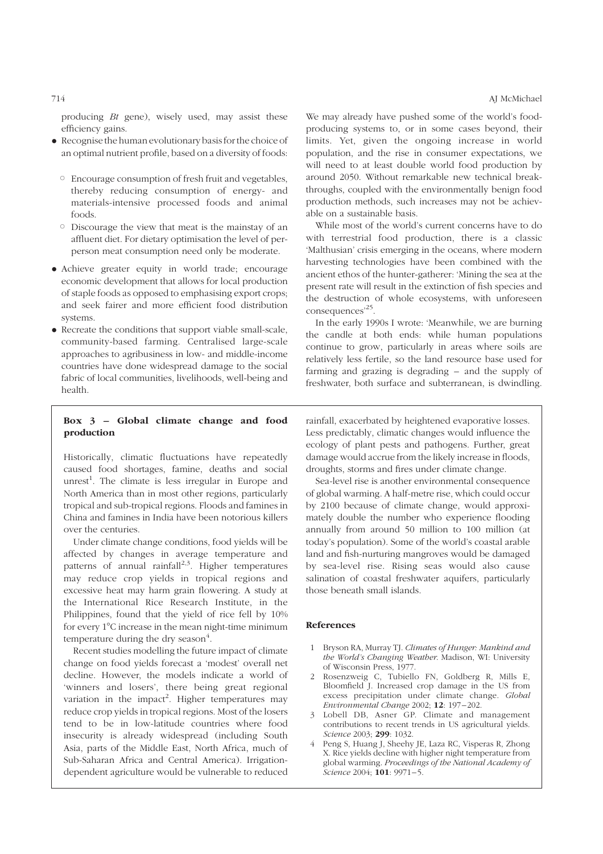producing Bt gene), wisely used, may assist these efficiency gains.

- . Recognise the human evolutionary basis for the choice of an optimal nutrient profile, based on a diversity of foods:
	- $\circ$  Encourage consumption of fresh fruit and vegetables, thereby reducing consumption of energy- and materials-intensive processed foods and animal foods.
	- $\circ$  Discourage the view that meat is the mainstay of an affluent diet. For dietary optimisation the level of perperson meat consumption need only be moderate.
- . Achieve greater equity in world trade; encourage economic development that allows for local production of staple foods as opposed to emphasising export crops; and seek fairer and more efficient food distribution systems.
- . Recreate the conditions that support viable small-scale, community-based farming. Centralised large-scale approaches to agribusiness in low- and middle-income countries have done widespread damage to the social fabric of local communities, livelihoods, well-being and health.

We may already have pushed some of the world's foodproducing systems to, or in some cases beyond, their limits. Yet, given the ongoing increase in world population, and the rise in consumer expectations, we will need to at least double world food production by around 2050. Without remarkable new technical breakthroughs, coupled with the environmentally benign food production methods, such increases may not be achievable on a sustainable basis.

While most of the world's current concerns have to do with terrestrial food production, there is a classic 'Malthusian' crisis emerging in the oceans, where modern harvesting technologies have been combined with the ancient ethos of the hunter-gatherer: 'Mining the sea at the present rate will result in the extinction of fish species and the destruction of whole ecosystems, with unforeseen consequences'25.

In the early 1990s I wrote: 'Meanwhile, we are burning the candle at both ends: while human populations continue to grow, particularly in areas where soils are relatively less fertile, so the land resource base used for farming and grazing is degrading – and the supply of freshwater, both surface and subterranean, is dwindling.

# Box 3 – Global climate change and food production

Historically, climatic fluctuations have repeatedly caused food shortages, famine, deaths and social unrest<sup>1</sup>. The climate is less irregular in Europe and North America than in most other regions, particularly tropical and sub-tropical regions. Floods and famines in China and famines in India have been notorious killers over the centuries.

Under climate change conditions, food yields will be affected by changes in average temperature and patterns of annual rainfall<sup>2,3</sup>. Higher temperatures may reduce crop yields in tropical regions and excessive heat may harm grain flowering. A study at the International Rice Research Institute, in the Philippines, found that the yield of rice fell by 10% for every 1*8*C increase in the mean night-time minimum temperature during the dry season<sup>4</sup>.

Recent studies modelling the future impact of climate change on food yields forecast a 'modest' overall net decline. However, the models indicate a world of 'winners and losers', there being great regional variation in the impact<sup>2</sup>. Higher temperatures may reduce crop yields in tropical regions. Most of the losers tend to be in low-latitude countries where food insecurity is already widespread (including South Asia, parts of the Middle East, North Africa, much of Sub-Saharan Africa and Central America). Irrigationdependent agriculture would be vulnerable to reduced rainfall, exacerbated by heightened evaporative losses. Less predictably, climatic changes would influence the ecology of plant pests and pathogens. Further, great damage would accrue from the likely increase in floods, droughts, storms and fires under climate change.

Sea-level rise is another environmental consequence of global warming. A half-metre rise, which could occur by 2100 because of climate change, would approximately double the number who experience flooding annually from around 50 million to 100 million (at today's population). Some of the world's coastal arable land and fish-nurturing mangroves would be damaged by sea-level rise. Rising seas would also cause salination of coastal freshwater aquifers, particularly those beneath small islands.

# References

- 1 Bryson RA, Murray TJ. Climates of Hunger: Mankind and the World's Changing Weather. Madison, WI: University of Wisconsin Press, 1977.
- 2 Rosenzweig C, Tubiello FN, Goldberg R, Mills E, Bloomfield J. Increased crop damage in the US from excess precipitation under climate change. Global Environmental Change 2002; 12: 197 –202.
- 3 Lobell DB, Asner GP. Climate and management contributions to recent trends in US agricultural yields. Science 2003; 299: 1032.
- 4 Peng S, Huang J, Sheehy JE, Laza RC, Visperas R, Zhong X. Rice yields decline with higher night temperature from global warming. Proceedings of the National Academy of  $Science 2004:$  101: 9971-5.